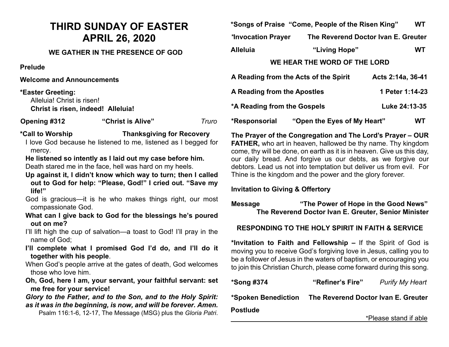# **THIRD SUNDAY OF EASTER APRIL 26, 2020**

### **WE GATHER IN THE PRESENCE OF GOD**

**Prelude** 

**Welcome and Announcements** 

### **\*Easter Greeting:**

Alleluia! Christ is risen! **Christ is risen, indeed! Alleluia!**

**Opening #312 "Christ is Alive"** *Truro*

### **\*Call to Worship Thanksgiving for Recovery**

I love God because he listened to me, listened as I begged for mercy.

#### **He listened so intently as I laid out my case before him.**

Death stared me in the face, hell was hard on my heels.

- **Up against it, I didn't know which way to turn; then I called out to God for help: "Please, God!" I cried out. "Save my life!"**
- God is gracious—it is he who makes things right, our most compassionate God.
- **What can I give back to God for the blessings he's poured out on me?**
- I'll lift high the cup of salvation—a toast to God! I'll pray in the name of God;
- **I'll complete what I promised God I'd do, and I'll do it together with his people**.

When God's people arrive at the gates of death, God welcomes those who love him.

**Oh, God, here I am, your servant, your faithful servant: set me free for your service!**

*Glory to the Father, and to the Son, and to the Holy Spirit:* 

*as it was in the beginning, is now, and will be forever. Amen.* Psalm 116:1-6, 12-17, The Message (MSG) plus the *Gloria Patri*.

| *Songs of Praise "Come, People of the Risen King" |                                     |                   |    |  |  |
|---------------------------------------------------|-------------------------------------|-------------------|----|--|--|
| *Invocation Prayer                                | The Reverend Doctor Ivan E. Greuter |                   |    |  |  |
| <b>Alleluia</b>                                   | "Living Hope"                       |                   | WТ |  |  |
| WE HEAR THE WORD OF THE LORD                      |                                     |                   |    |  |  |
| A Reading from the Acts of the Spirit             |                                     | Acts 2:14a, 36-41 |    |  |  |

| A Reading from the Apostles |                             | 1 Peter 1:14-23 |
|-----------------------------|-----------------------------|-----------------|
| *A Reading from the Gospels |                             | Luke 24:13-35   |
| *Responsorial               | "Open the Eyes of My Heart" | WТ              |

**The Prayer of the Congregation and The Lord's Prayer – OUR FATHER,** who art in heaven, hallowed be thy name. Thy kingdom come, thy will be done, on earth as it is in heaven. Give us this day, our daily bread. And forgive us our debts, as we forgive our debtors. Lead us not into temptation but deliver us from evil. For Thine is the kingdom and the power and the glory forever.

### **Invitation to Giving & Offertory**

**Message "The Power of Hope in the Good News" The Reverend Doctor Ivan E. Greuter, Senior Minister**

### **RESPONDING TO THE HOLY SPIRIT IN FAITH & SERVICE**

**\*Invitation to Faith and Fellowship –** If the Spirit of God is moving you to receive God's forgiving love in Jesus, calling you to be a follower of Jesus in the waters of baptism, or encouraging you to join this Christian Church, please come forward during this song.

| *Song #374          | "Refiner's Fire"                    | <b>Purify My Heart</b>       |
|---------------------|-------------------------------------|------------------------------|
| *Spoken Benediction | The Reverend Doctor Ivan E. Greuter |                              |
| <b>Postlude</b>     |                                     | $*$ Dlogge otopd if oble $*$ |

**Please stand if able**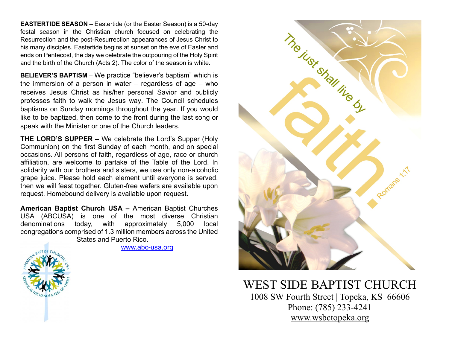**EASTERTIDE SEASON –** Eastertide (or the Easter Season) is a 50-day festal season in the Christian church focused on celebrating the Resurrection and the post-Resurrection appearances of Jesus Christ to his many disciples. Eastertide begins at sunset on the eve of Easter and ends on Pentecost, the day we celebrate the outpouring of the Holy Spirit and the birth of the Church (Acts 2). The color of the season is white.

**BELIEVER'S BAPTISM** – We practice "believer's baptism" which is the immersion of a person in water  $-$  regardless of age  $-$  who receives Jesus Christ as his/her personal Savior and publicly professes faith to walk the Jesus way. The Council schedules baptisms on Sunday mornings throughout the year. If you would like to be baptized, then come to the front during the last song or speak with the Minister or one of the Church leaders.

**THE LORD'S SUPPER –** We celebrate the Lord's Supper (Holy Communion) on the first Sunday of each month, and on special occasions. All persons of faith, regardless of age, race or church affiliation, are welcome to partake of the Table of the Lord. In solidarity with our brothers and sisters, we use only non-alcoholic grape juice. Please hold each element until everyone is served, then we will feast together. Gluten-free wafers are available upon request. Homebound delivery is available upon request.

**American Baptist Church USA –** American Baptist Churches USA (ABCUSA) is one of the most diverse Christian denominations today, with approximately 5,000 local congregations comprised of 1.3 million members across the United States and Puerto Rico.



[www.abc-usa.org](http://www.abc-usa.org/)



# WEST SIDE BAPTIST CHURCH<br>1008 SW Fourth Street | Topeka, KS 66606

Phone: (785) 233-4241 [www.wsbctopeka.org](http://www.wsbctopeka.org/)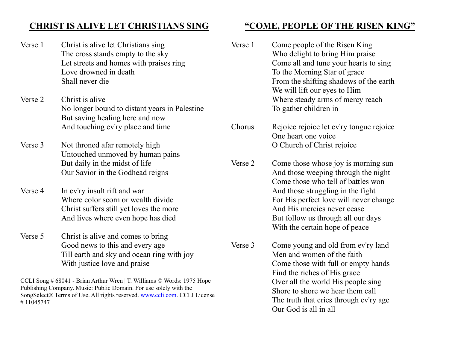# **CHRIST IS ALIVE LET CHRISTIANS SING**

- Verse 1 Christ is alive let Christians sing The cross stands empty to the sky Let streets and homes with praises ring Love drowned in death Shall never die
- Verse 2 Christ is alive No longer bound to distant years in Palestine But saving healing here and now And touching ev'ry place and time
- Verse 3 Not throned afar remotely high Untouched unmoved by human pains But daily in the midst of life Our Savior in the Godhead reigns
- Verse 4 In ev'ry insult rift and war Where color scorn or wealth divide Christ suffers still yet loves the more And lives where even hope has died
- Verse 5 Christ is alive and comes to bring Good news to this and every age Till earth and sky and ocean ring with joy With justice love and praise

CCLI Song # 68041 - Brian Arthur Wren | T. Williams © Words: 1975 Hope Publishing Company. Music: Public Domain. For use solely with the SongSelect® Terms of Use. All rights reserved. [www.ccli.com.](http://www.ccli.com/) CCLI License # 11045747

# **"COME, PEOPLE OF THE RISEN KING"**

- Verse 1 Come people of the Risen King Who delight to bring Him praise Come all and tune your hearts to sing To the Morning Star of grace From the shifting shadows of the earth We will lift our eyes to Him Where steady arms of mercy reach To gather children in
- Chorus Rejoice rejoice let ev'ry tongue rejoice One heart one voice O Church of Christ rejoice
- Verse 2 Come those whose joy is morning sun And those weeping through the night Come those who tell of battles won And those struggling in the fight For His perfect love will never change And His mercies never cease But follow us through all our days With the certain hope of peace
- Verse 3 Come young and old from ev'ry land Men and women of the faith Come those with full or empty hands Find the riches of His grace Over all the world His people sing Shore to shore we hear them call The truth that cries through ev'ry age Our God is all in all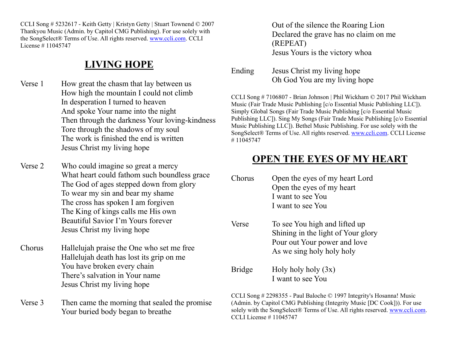CCLI Song # 5232617 - Keith Getty | Kristyn Getty | Stuart Townend © 2007 Thankyou Music (Admin. by Capitol CMG Publishing). For use solely with the SongSelect® Terms of Use. All rights reserved. [www.ccli.com.](http://www.ccli.com/) CCLI License # 11045747

# **LIVING HOPE**

- Verse 1 How great the chasm that lay between us How high the mountain I could not climb In desperation I turned to heaven And spoke Your name into the night Then through the darkness Your loving-kindness Tore through the shadows of my soul The work is finished the end is written Jesus Christ my living hope
- Verse 2 Who could imagine so great a mercy What heart could fathom such boundless grace The God of ages stepped down from glory To wear my sin and bear my shame The cross has spoken I am forgiven The King of kings calls me His own Beautiful Savior I'm Yours forever Jesus Christ my living hope
- Chorus Hallelujah praise the One who set me free Hallelujah death has lost its grip on me You have broken every chain There's salvation in Your name Jesus Christ my living hope
- Verse 3 Then came the morning that sealed the promise Your buried body began to breathe

Out of the silence the Roaring Lion Declared the grave has no claim on me (REPEAT) Jesus Yours is the victory whoa

Ending Jesus Christ my living hope Oh God You are my living hope

CCLI Song # 7106807 - Brian Johnson | Phil Wickham © 2017 Phil Wickham Music (Fair Trade Music Publishing [c/o Essential Music Publishing LLC]). Simply Global Songs (Fair Trade Music Publishing [c/o Essential Music Publishing LLC]). Sing My Songs (Fair Trade Music Publishing [c/o Essential Music Publishing LLC]). Bethel Music Publishing. For use solely with the SongSelect® Terms of Use. All rights reserved. [www.ccli.com.](http://www.ccli.com/) CCLI License # 11045747

### **OPEN THE EYES OF MY HEART**

- Chorus Open the eyes of my heart Lord Open the eyes of my heart I want to see You I want to see You
- Verse To see You high and lifted up Shining in the light of Your glory Pour out Your power and love As we sing holy holy holy
- Bridge Holy holy holy  $(3x)$ I want to see You

CCLI Song # 2298355 - Paul Baloche © 1997 Integrity's Hosanna! Music (Admin. by Capitol CMG Publishing (Integrity Music [DC Cook])). For use solely with the SongSelect® Terms of Use. All rights reserved. [www.ccli.com.](http://www.ccli.com/) CCLI License # 11045747